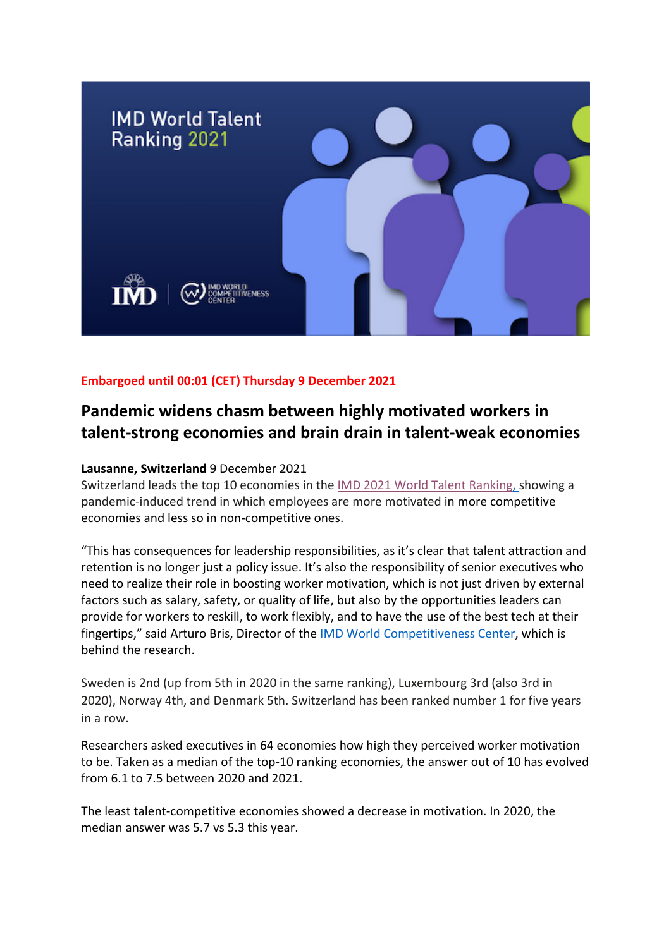

## **Embargoed until 00:01 (CET) Thursday 9 December 2021**

# **Pandemic widens chasm between highly motivated workers in talent-strong economies and brain drain in talent-weak economies**

#### **Lausanne, Switzerland** 9 December 2021

Switzerland leads the top 10 economies in the IMD 2021 [World Talent Ranking,](https://www.imd.org/centers/world-competitiveness-center/rankings/world-talent-competitiveness/) showing a pandemic-induced trend in which employees are more motivated in more competitive economies and less so in non-competitive ones.

"This has consequences for leadership responsibilities, as it's clear that talent attraction and retention is no longer just a policy issue. It's also the responsibility of senior executives who need to realize their role in boosting worker motivation, which is not just driven by external factors such as salary, safety, or quality of life, but also by the opportunities leaders can provide for workers to reskill, to work flexibly, and to have the use of the best tech at their fingertips," said Arturo Bris, Director of the **IMD World Competitiveness Center**, which is behind the research.

Sweden is 2nd (up from 5th in 2020 in the same ranking), Luxembourg 3rd (also 3rd in 2020), Norway 4th, and Denmark 5th. Switzerland has been ranked number 1 for five years in a row.

Researchers asked executives in 64 economies how high they perceived worker motivation to be. Taken as a median of the top-10 ranking economies, the answer out of 10 has evolved from 6.1 to 7.5 between 2020 and 2021.

The least talent-competitive economies showed a decrease in motivation. In 2020, the median answer was 5.7 vs 5.3 this year.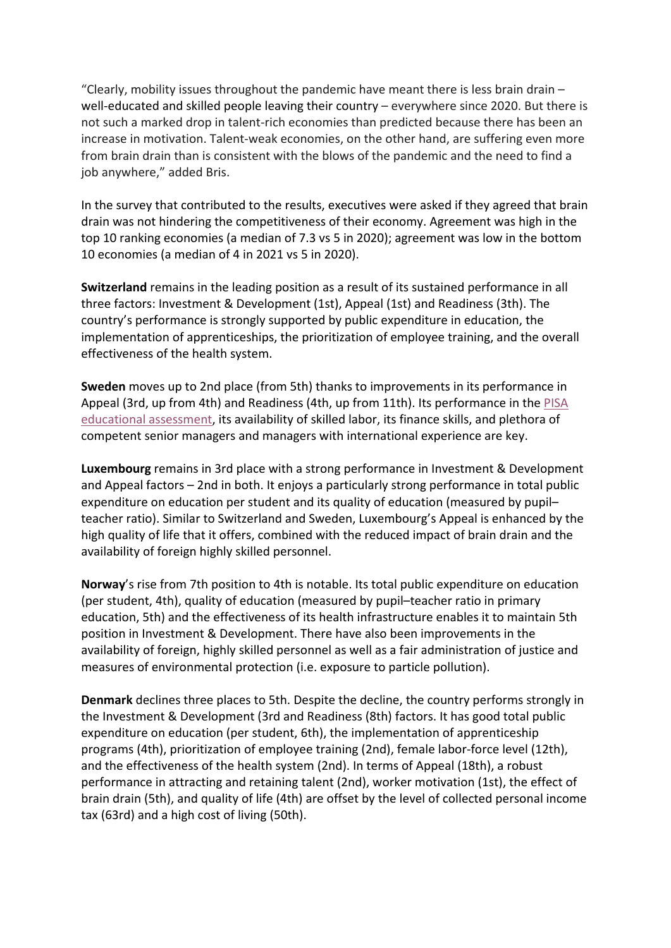"Clearly, mobility issues throughout the pandemic have meant there is less brain drain  $$ well-educated and skilled people leaving their country – everywhere since 2020. But there is not such a marked drop in talent-rich economies than predicted because there has been an increase in motivation. Talent-weak economies, on the other hand, are suffering even more from brain drain than is consistent with the blows of the pandemic and the need to find a job anywhere," added Bris.

In the survey that contributed to the results, executives were asked if they agreed that brain drain was not hindering the competitiveness of their economy. Agreement was high in the top 10 ranking economies (a median of 7.3 vs 5 in 2020); agreement was low in the bottom 10 economies (a median of 4 in 2021 vs 5 in 2020).

**Switzerland** remains in the leading position as a result of its sustained performance in all three factors: Investment & Development (1st), Appeal (1st) and Readiness (3th). The country's performance is strongly supported by public expenditure in education, the implementation of apprenticeships, the prioritization of employee training, and the overall effectiveness of the health system.

**Sweden** moves up to 2nd place (from 5th) thanks to improvements in its performance in Appeal (3rd, up from 4th) and Readiness (4th, up from 11th). Its performance in the [PISA](https://www.oecd.org/pisa/)  [educational assessment,](https://www.oecd.org/pisa/) its availability of skilled labor, its finance skills, and plethora of competent senior managers and managers with international experience are key.

**Luxembourg** remains in 3rd place with a strong performance in Investment & Development and Appeal factors – 2nd in both. It enjoys a particularly strong performance in total public expenditure on education per student and its quality of education (measured by pupil– teacher ratio). Similar to Switzerland and Sweden, Luxembourg's Appeal is enhanced by the high quality of life that it offers, combined with the reduced impact of brain drain and the availability of foreign highly skilled personnel.

**Norway**'s rise from 7th position to 4th is notable. Its total public expenditure on education (per student, 4th), quality of education (measured by pupil–teacher ratio in primary education, 5th) and the effectiveness of its health infrastructure enables it to maintain 5th position in Investment & Development. There have also been improvements in the availability of foreign, highly skilled personnel as well as a fair administration of justice and measures of environmental protection (i.e. exposure to particle pollution).

**Denmark** declines three places to 5th. Despite the decline, the country performs strongly in the Investment & Development (3rd and Readiness (8th) factors. It has good total public expenditure on education (per student, 6th), the implementation of apprenticeship programs (4th), prioritization of employee training (2nd), female labor-force level (12th), and the effectiveness of the health system (2nd). In terms of Appeal (18th), a robust performance in attracting and retaining talent (2nd), worker motivation (1st), the effect of brain drain (5th), and quality of life (4th) are offset by the level of collected personal income tax (63rd) and a high cost of living (50th).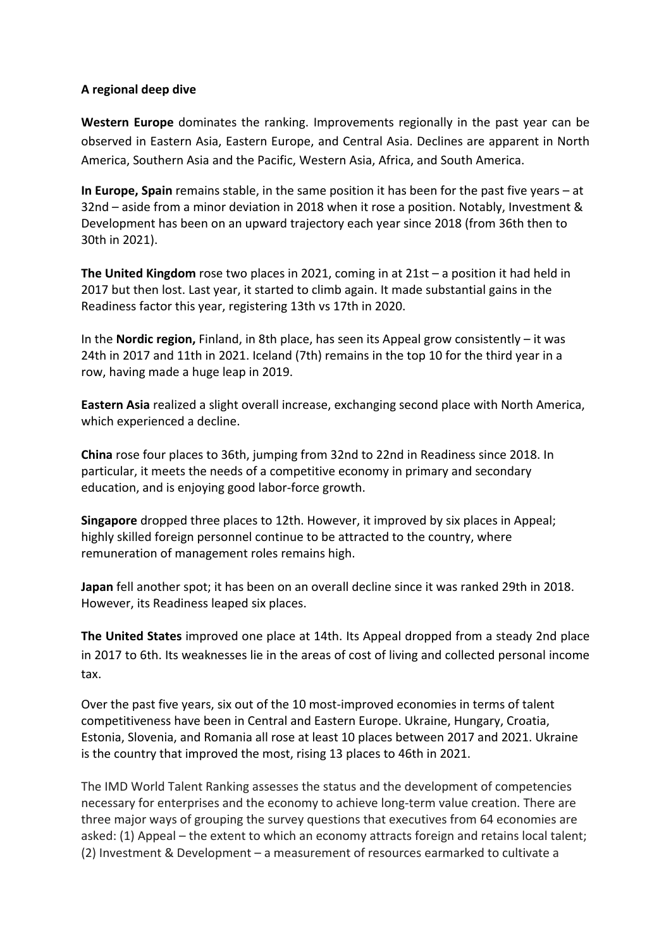### **A regional deep dive**

**Western Europe** dominates the ranking. Improvements regionally in the past year can be observed in Eastern Asia, Eastern Europe, and Central Asia. Declines are apparent in North America, Southern Asia and the Pacific, Western Asia, Africa, and South America.

**In Europe, Spain** remains stable, in the same position it has been for the past five years – at 32nd – aside from a minor deviation in 2018 when it rose a position. Notably, Investment & Development has been on an upward trajectory each year since 2018 (from 36th then to 30th in 2021).

**The United Kingdom** rose two places in 2021, coming in at 21st – a position it had held in 2017 but then lost. Last year, it started to climb again. It made substantial gains in the Readiness factor this year, registering 13th vs 17th in 2020.

In the **Nordic region,** Finland, in 8th place, has seen its Appeal grow consistently – it was 24th in 2017 and 11th in 2021. Iceland (7th) remains in the top 10 for the third year in a row, having made a huge leap in 2019.

**Eastern Asia** realized a slight overall increase, exchanging second place with North America, which experienced a decline.

**China** rose four places to 36th, jumping from 32nd to 22nd in Readiness since 2018. In particular, it meets the needs of a competitive economy in primary and secondary education, and is enjoying good labor-force growth.

**Singapore** dropped three places to 12th. However, it improved by six places in Appeal; highly skilled foreign personnel continue to be attracted to the country, where remuneration of management roles remains high.

**Japan** fell another spot; it has been on an overall decline since it was ranked 29th in 2018. However, its Readiness leaped six places.

**The United States** improved one place at 14th. Its Appeal dropped from a steady 2nd place in 2017 to 6th. Its weaknesses lie in the areas of cost of living and collected personal income tax.

Over the past five years, six out of the 10 most-improved economies in terms of talent competitiveness have been in Central and Eastern Europe. Ukraine, Hungary, Croatia, Estonia, Slovenia, and Romania all rose at least 10 places between 2017 and 2021. Ukraine is the country that improved the most, rising 13 places to 46th in 2021.

The IMD World Talent Ranking assesses the status and the development of competencies necessary for enterprises and the economy to achieve long-term value creation. There are three major ways of grouping the survey questions that executives from 64 economies are asked: (1) Appeal – the extent to which an economy attracts foreign and retains local talent; (2) Investment & Development – a measurement of resources earmarked to cultivate a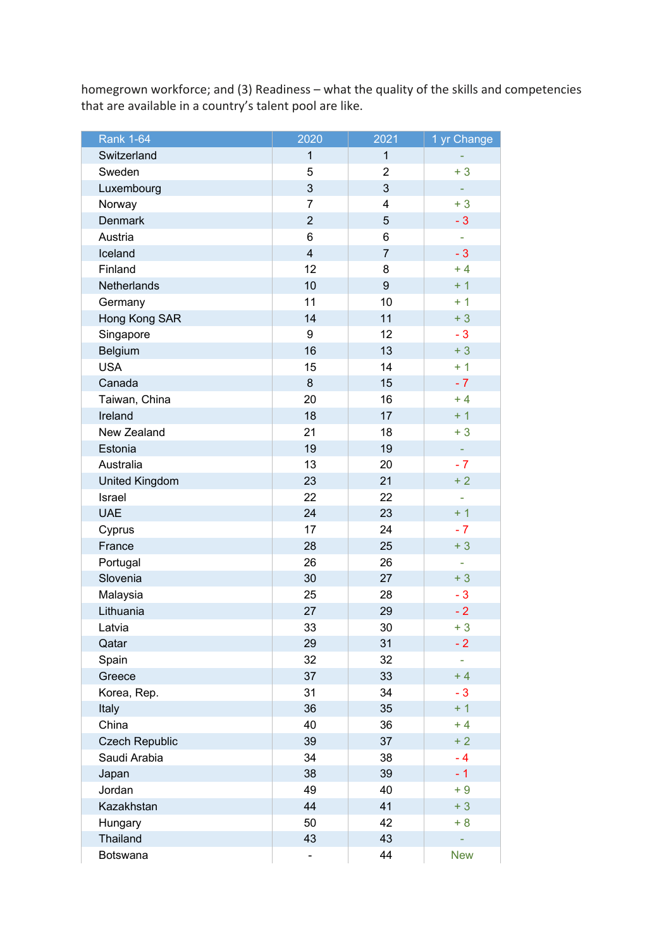homegrown workforce; and (3) Readiness – what the quality of the skills and competencies that are available in a country's talent pool are like.

| <b>Rank 1-64</b>      | 2020                    | 2021             | 1 yr Change |
|-----------------------|-------------------------|------------------|-------------|
| Switzerland           | $\mathbf{1}$            | $\mathbf{1}$     |             |
| Sweden                | 5                       | $\overline{2}$   | $+3$        |
| Luxembourg            | 3                       | 3                |             |
| Norway                | $\overline{7}$          | $\overline{4}$   | $+3$        |
| <b>Denmark</b>        | $\overline{2}$          | 5                | $-3$        |
| Austria               | $\,6$                   | 6                |             |
| Iceland               | $\overline{\mathbf{4}}$ | $\overline{7}$   | $-3$        |
| Finland               | 12                      | 8                | $+4$        |
| Netherlands           | 10                      | $\boldsymbol{9}$ | $+1$        |
| Germany               | 11                      | 10               | $+1$        |
| Hong Kong SAR         | 14                      | 11               | $+3$        |
| Singapore             | 9                       | 12               | $-3$        |
| Belgium               | 16                      | 13               | $+3$        |
| <b>USA</b>            | 15                      | 14               | $+1$        |
| Canada                | 8                       | 15               | $-7$        |
| Taiwan, China         | 20                      | 16               | $+4$        |
| Ireland               | 18                      | 17               | $+1$        |
| New Zealand           | 21                      | 18               | $+3$        |
| Estonia               | 19                      | 19               | ÷           |
| Australia             | 13                      | 20               | $-7$        |
| <b>United Kingdom</b> | 23                      | 21               | $+2$        |
| Israel                | 22                      | 22               | ä,          |
| <b>UAE</b>            | 24                      | 23               | $+1$        |
| Cyprus                | 17                      | 24               | $-7$        |
| France                | 28                      | 25               | $+3$        |
| Portugal              | 26                      | 26               | ÷           |
| Slovenia              | 30                      | 27               | $+3$        |
| Malaysia              | 25                      | 28               | $-3$        |
| Lithuania             | 27                      | 29               | $-2$        |
| Latvia                | 33                      | 30               | $+3$        |
| Qatar                 | 29                      | 31               | - 2         |
| Spain                 | 32                      | 32               |             |
| Greece                | 37                      | 33               | $+4$        |
| Korea, Rep.           | 31                      | 34               | $-3$        |
| Italy                 | 36                      | 35               | $+1$        |
| China                 | 40                      | 36               | $+4$        |
| <b>Czech Republic</b> | 39                      | 37               | $+2$        |
| Saudi Arabia          | 34                      | 38               | $-4$        |
| Japan                 | 38                      | 39               | $-1$        |
| Jordan                | 49                      | 40               | $+9$        |
| Kazakhstan            | 44                      | 41               | $+3$        |
| Hungary               | 50                      | 42               | $+8$        |
| Thailand              | 43                      | 43               |             |
| Botswana              | -                       | 44               | <b>New</b>  |